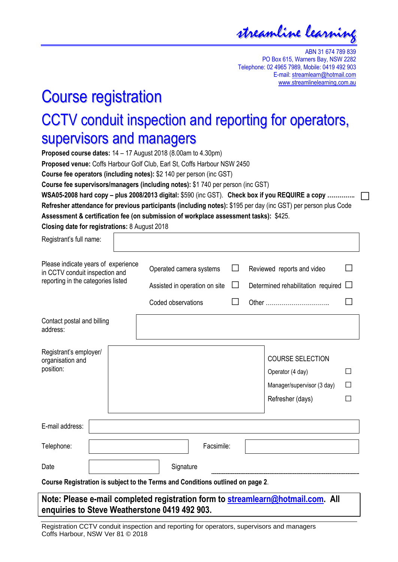streamline learning

ABN 31 674 789 839 PO Box 615, Warners Bay, NSW 2282 Telephone: 02 4965 7989, Mobile: 0419 492 903 E-mail: streamlearn@hotmail.com www.streamlinelearning.com.au

# Course registration

## CCTV conduit inspection and reporting for operators, supervisors and managers

**Proposed course dates:** 14 – 17 August 2018 (8.00am to 4.30pm)

**Proposed venue:** Coffs Harbour Golf Club, Earl St, Coffs Harbour NSW 2450

**Course fee operators (including notes):** \$2 140 per person (inc GST)

**Course fee supervisors/managers (including notes):** \$1 740 per person (inc GST)

**WSA05-2008 hard copy – plus 2008/2013 digital:** \$590 (inc GST). **Check box if you REQUIRE a copy ………….. □Refresher attendance for previous participants (including notes):** \$195 per day (inc GST) per person plus Code **Assessment & certification fee (on submission of workplace assessment tasks):** \$425.

**Closing date for registrations:** 8 August 2018

| Registrant's full name:                                                                                     |  |                                                                                |        |                                                                                               |                   |
|-------------------------------------------------------------------------------------------------------------|--|--------------------------------------------------------------------------------|--------|-----------------------------------------------------------------------------------------------|-------------------|
| Please indicate years of experience<br>in CCTV conduit inspection and<br>reporting in the categories listed |  | Operated camera systems<br>Assisted in operation on site<br>Coded observations | $\Box$ | Reviewed reports and video<br>Determined rehabilitation required $\Box$<br>Other              |                   |
| Contact postal and billing<br>address:                                                                      |  |                                                                                |        |                                                                                               |                   |
| Registrant's employer/<br>organisation and<br>position:                                                     |  |                                                                                |        | <b>COURSE SELECTION</b><br>Operator (4 day)<br>Manager/supervisor (3 day)<br>Refresher (days) | $\mathsf{L}$<br>П |
| E-mail address:                                                                                             |  |                                                                                |        |                                                                                               |                   |
| Telephone:                                                                                                  |  | Facsimile:                                                                     |        |                                                                                               |                   |
| Date                                                                                                        |  | Signature                                                                      |        |                                                                                               |                   |
| Course Registration is subject to the Terms and Conditions outlined on page 2.                              |  |                                                                                |        |                                                                                               |                   |

#### **Note: Please e-mail completed registration form to [streamlearn@hotmail.com.](mailto:streamlearn@hotmail.com) All enquiries to Steve Weatherstone 0419 492 903.**

Registration CCTV conduit inspection and reporting for operators, supervisors and managers Coffs Harbour, NSW Ver 81 © 2018